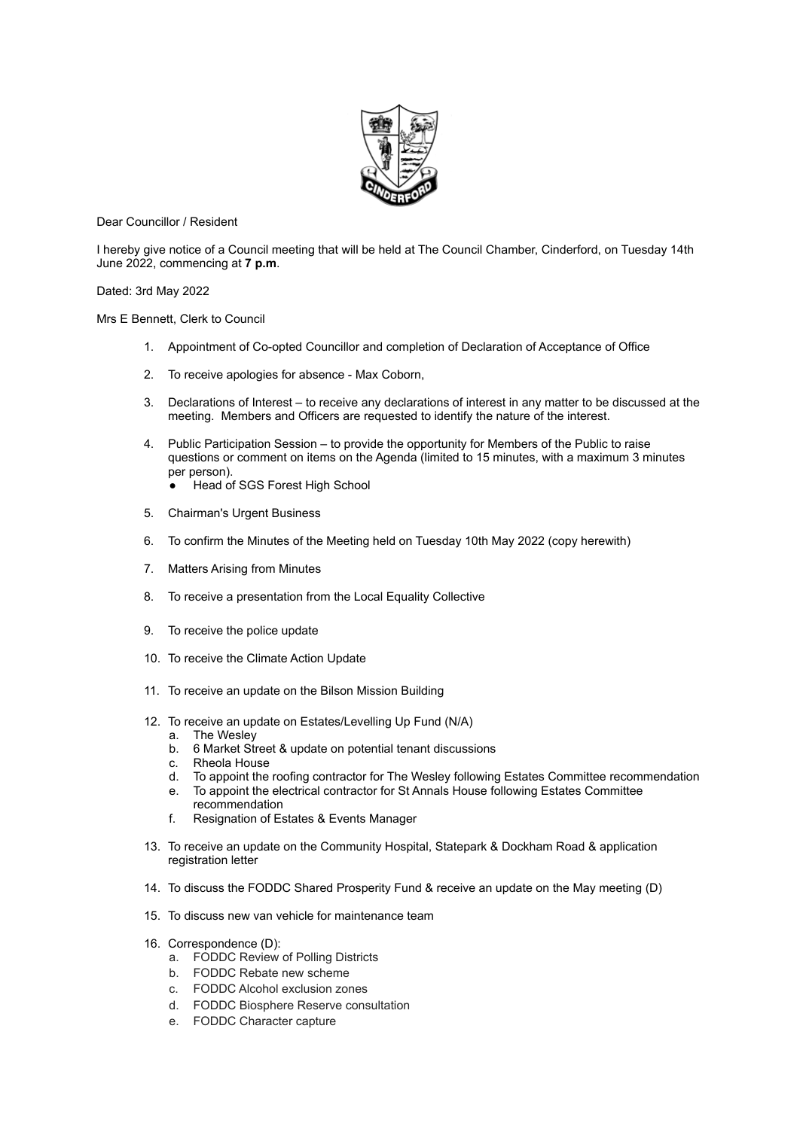

Dear Councillor / Resident

I hereby give notice of a Council meeting that will be held at The Council Chamber, Cinderford, on Tuesday 14th June 2022, commencing at **7 p.m**.

Dated: 3rd May 2022

Mrs E Bennett, Clerk to Council

- 1. Appointment of Co-opted Councillor and completion of Declaration of Acceptance of Office
- 2. To receive apologies for absence Max Coborn,
- 3. Declarations of Interest to receive any declarations of interest in any matter to be discussed at the meeting. Members and Officers are requested to identify the nature of the interest.
- 4. Public Participation Session to provide the opportunity for Members of the Public to raise questions or comment on items on the Agenda (limited to 15 minutes, with a maximum 3 minutes per person).
	- Head of SGS Forest High School
- 5. Chairman's Urgent Business
- 6. To confirm the Minutes of the Meeting held on Tuesday 10th May 2022 (copy herewith)
- 7. Matters Arising from Minutes
- 8. To receive a presentation from the Local Equality Collective
- 9. To receive the police update
- 10. To receive the Climate Action Update
- 11. To receive an update on the Bilson Mission Building
- 12. To receive an update on Estates/Levelling Up Fund (N/A)
	- a. The Wesley
	- b. 6 Market Street & update on potential tenant discussions
	- c. Rheola House
	- d. To appoint the roofing contractor for The Wesley following Estates Committee recommendation
	- e. To appoint the electrical contractor for St Annals House following Estates Committee
	- recommendation f. Resignation of Estates & Events Manager
- 13. To receive an update on the Community Hospital, Statepark & Dockham Road & application registration letter
- 14. To discuss the FODDC Shared Prosperity Fund & receive an update on the May meeting (D)
- 15. To discuss new van vehicle for maintenance team
- 16. Correspondence (D):
	- a. FODDC Review of Polling Districts
	- b. FODDC Rebate new scheme
	- c. FODDC Alcohol exclusion zones
	- d. FODDC Biosphere Reserve consultation
	- e. FODDC Character capture